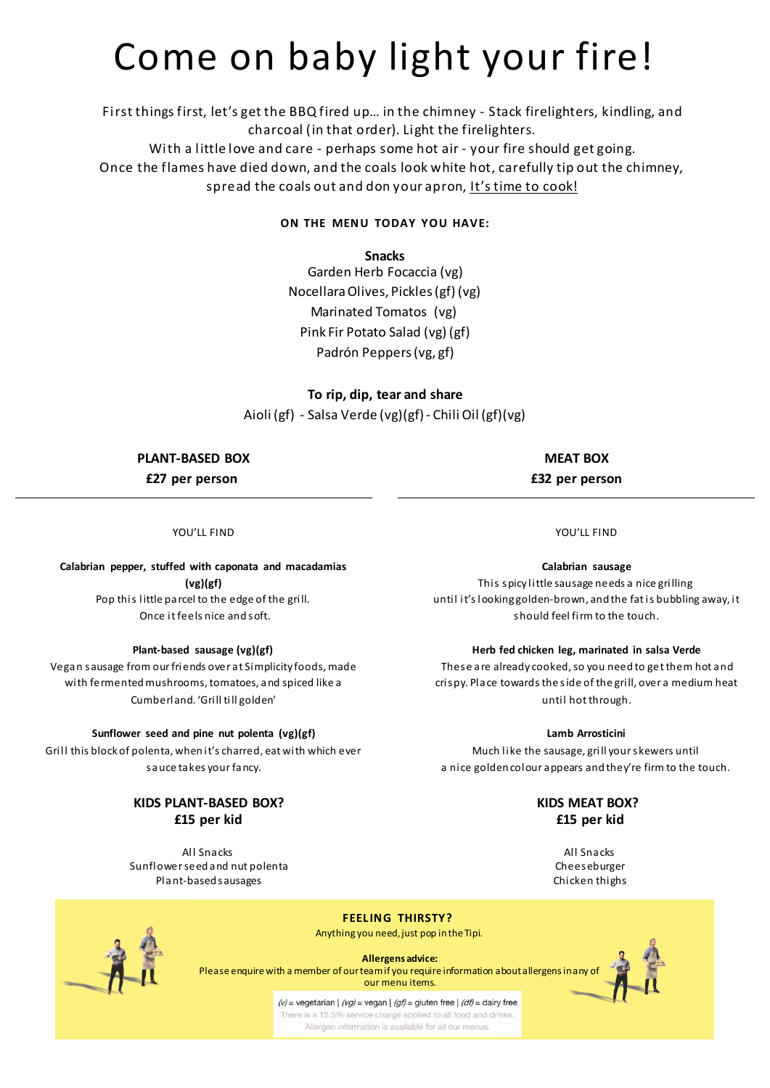## Come on baby light your fire!

First things first, let's get the BBQ fired up… in the chimney - Stack firelighters, kindling, and charcoal (in that order). Light the firelighters.

With a little love and care - perhaps some hot air - your fire should get going.

Once the flames have died down, and the coals look white hot, carefully tip out the chimney, spread the coals out and don your apron, It's time to cook!

#### **ON THE MENU TODAY YOU HAVE:**

#### **Snacks**

Garden Herb Focaccia (vg) NocellaraOlives, Pickles (gf) (vg) Marinated Tomatos (vg) Pink Fir Potato Salad (vg) (gf) Padrón Peppers (vg, gf)

### **To rip, dip, tear and share** Aioli (gf) - Salsa Verde (vg)(gf) - Chili Oil (gf)(vg)

**PLANT-BASED BOX £27 per person**

**MEAT BOX £32 per person**

YOU'LL FIND

#### **Calabrian pepper, stuffed with caponata and macadamias (vg)(gf)** Pop this little parcel to the edge of the grill. Once it feels nice and soft.

#### **Plant-based sausage (vg)(gf)**

Vegan sausage from our friends over at Simplicity foods, made with fermented mushrooms, tomatoes, and spiced like a Cumberland. 'Grill till golden'

#### **Sunflower seed and pine nut polenta (vg)(gf)**

Grill this block of polenta, when it's charred, eat with which ever sauce takes your fancy.

#### **KIDS PLANT-BASED BOX? £15 per kid**

All Snacks Sunflower seed and nut polenta Plant-based sausages

YOU'LL FIND

**Calabrian sausage**

This spicy little sausage needs a nice grilling until it's looking golden-brown, and the fat is bubbling away, it should feel firm to the touch.

#### **Herb fed chicken leg, marinated in salsa Verde**

These are already cooked, so you need to get them hot and crispy. Place towards the side of the grill, over a medium heat until hot through.

#### **Lamb Arrosticini**

Much like the sausage, grill your skewers until a nice golden colour appears and they're firm to the touch.

#### **KIDS MEAT BOX? £15 per kid**

All Snacks Cheeseburger Chicken thighs



**Allergens advice:** Please enquire with a member of our team if you require information about allergens in any of our menu items.

**FEEL ING THIRSTY?** Anything you need, just pop in the Tipi.

 $(v)$  = vegetarian |  $(vg)$  = vegan |  $(gf)$  = gluten free |  $(df)$  = dairy free There is a 12.5% service charge applied to all food and drink Allergen information is available for all our menus.